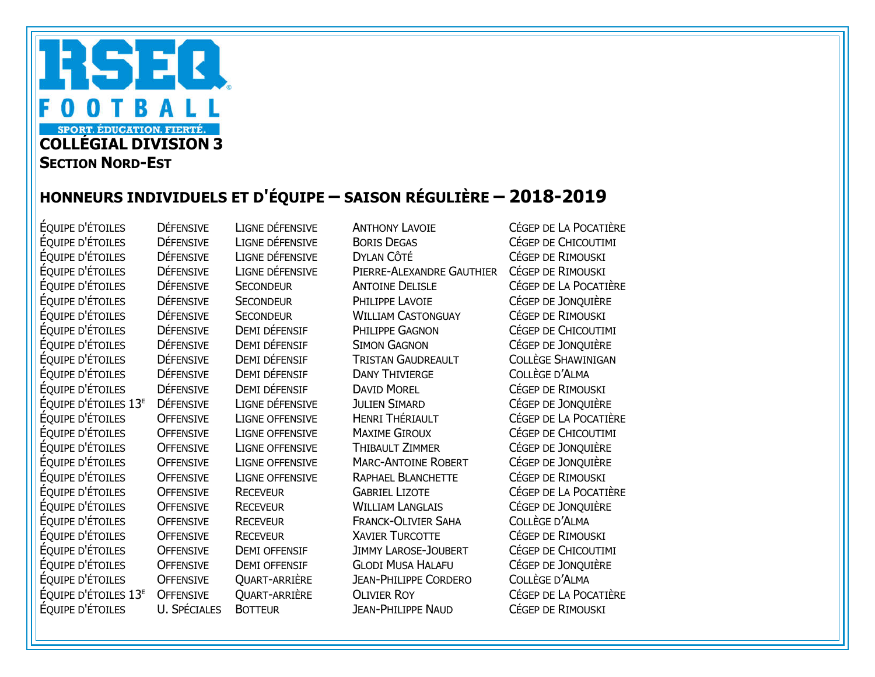## RSEQ OTBALL  $\bf{0}$ **SPORT. ÉDUCATION. FIERTÉ.** COLLÉGIAL DIVISION 3 **SECTION NORD-EST**

## HONNEURS INDIVIDUELS ET D'ÉQUIPE – SAISON RÉGULIÈRE – 2018-2019

ÉQUIPE D'ÉTOILES DÉFENSIVE LIGNE DÉFENSIVE ANTHONY LAVOIE CÉGEP DE LA POCATIÈRE ÉQUIPE D'ÉTOILES DÉFENSIVE LIGNE DÉFENSIVE BORIS DEGAS CÉGEP DE CHICOUTIMI ÉQUIPE D'ÉTOILES DÉFENSIVE LIGNE DÉFENSIVE DYLAN CÔTÉ CÉGEP DE RIMOUSKI ÉQUIPE D'ÉTOILES DÉFENSIVE LIGNE DÉFENSIVE PIERRE-ALEXANDRE GAUTHIER CÉGEP DE RIMOUSKI<br>ÉQUIPE D'ÉTOILES DÉFENSIVE SECONDEUR ANTOINE DELISLE CÉGEP DE LA POCATI DÉFENSIVE SECONDEUR ANTOINE DELISLE CÉGEP DE LA POCATIÈRE ÉQUIPE D'ÉTOILES DÉFENSIVE SECONDEUR PHILIPPE LAVOIE CÉGEP DE JONQUIÈRE ÉQUIPE D'ÉTOILES DÉFENSIVE SECONDEUR WILLIAM CASTONGUAY CÉGEP DE RIMOUSKI ÉQUIPE D'ÉTOILES DÉFENSIVE DEMI DÉFENSIF PHILIPPE GAGNON CÉGEP DE CHICOUTIMI ÉQUIPE D'ÉTOILES DÉFENSIVE DEMI DÉFENSIF SIMON GAGNON CÉGEP DE JONQUIÈRE ÉQUIPE D'ÉTOILES DÉFENSIVE DEMI DÉFENSIF TRISTAN GAUDREAULT COLLÈGE SHAWINIGAN ÉQUIPE D'ÉTOILES DÉFENSIVE DEMI DÉFENSIF DANY THIVIERGE COLLÈGE D'ALMA ÉQUIPE D'ÉTOILES DÉFENSIVE DEMI DÉFENSIF DAVID MOREL CÉGEP DE RIMOUSKI ÉQUIPE D'ÉTOILES 13E DÉFENSIVE LIGNE DÉFENSIVE JULIEN SIMARD CÉGEP DE JONQUIÈRE ÉQUIPE D'ÉTOILES OFFENSIVE LIGNE OFFENSIVE HENRI THÉRIAULT CÉGEP DE LA POCATIÈRE ÉQUIPE D'ÉTOILES OFFENSIVE LIGNE OFFENSIVE MAXIME GIROUX CÉGEP DE CHICOUTIMI ÉQUIPE D'ÉTOILES OFFENSIVE LIGNE OFFENSIVE THIBAULT ZIMMER CÉGEP DE JONQUIÈRE ÉQUIPE D'ÉTOILES OFFENSIVE LIGNE OFFENSIVE MARC-ANTOINE ROBERT CÉGEP DE JONQUIÈRE ÉQUIPE D'ÉTOILES OFFENSIVE LIGNE OFFENSIVE RAPHAEL BLANCHETTE CÉGEP DE RIMOUSKI ÉQUIPE D'ÉTOILES OFFENSIVE RECEVEUR GABRIEL LIZOTE CÉGEP DE LA POCATIÈRE ÉQUIPE D'ÉTOILES OFFENSIVE RECEVEUR WILLIAM LANGLAIS CÉGEP DE JONQUIÈRE ÉQUIPE D'ÉTOILES OFFENSIVE RECEVEUR FRANCK-OLIVIER SAHA COLLÈGE D'ALMA ÉQUIPE D'ÉTOILES OFFENSIVE RECEVEUR XAVIER TURCOTTE CÉGEP DE RIMOUSKI ÉQUIPE D'ÉTOILES OFFENSIVE DEMI OFFENSIF JIMMY LAROSE-JOUBERT CÉGEP DE CHICOUTIMI ÉQUIPE D'ÉTOILES OFFENSIVE DEMI OFFENSIF GLODI MUSA HALAFU CÉGEP DE JONQUIÈRE ÉQUIPE D'ÉTOILES OFFENSIVE QUART-ARRIÈRE JEAN-PHILIPPE CORDERO COLLÈGE D'ALMA ÉQUIPE D'ÉTOILES 13E OFFENSIVE QUART-ARRIÈRE OLIVIER ROY CÉGEP DE LA POCATIÈRE ÉQUIPE D'ÉTOILES U. SPÉCIALES BOTTEUR JEAN-PHILIPPE NAUD CÉGEP DE RIMOUSKI